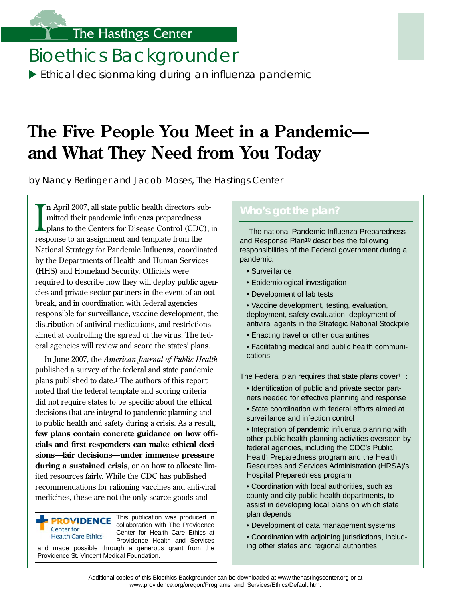## The Hastings Center

# Bioethics Backgrounder

 $\blacktriangleright$  Ethical decisionmaking during an influenza pandemic

# **The Five People You Meet in a Pandemic and What They Need from You Today**

by Nancy Berlinger and Jacob Moses, The Hastings Center

In April 2007, all state public health directors sumitted their pandemic influenza preparedness plans to the Centers for Disease Control (CDC response to an assignment and template from the n April 2007, all state public health directors submitted their pandemic influenza preparedness plans to the Centers for Disease Control (CDC), in National Strategy for Pandemic Influenza, coordinated by the Departments of Health and Human Services (HHS) and Homeland Security. Officials were required to describe how they will deploy public agencies and private sector partners in the event of an outbreak, and in coordination with federal agencies responsible for sur veillance, vaccine development, the distribution of antiviral medications, and restrictions aimed at controlling the spread of the virus. The federal agencies will review and score the states' plans.

In June 2007, the *American Journal of Public Health*  published a sur vey of the federal and state pandemic plans published to date.<sup>1</sup> The authors of this report noted that the federal template and scoring criteria did not require states to be specific about the ethical decisions that are integral to pandemic planning and to public health and safety during a crisis. As a result, few plans contain concrete guidance on how offi**cials and first responders can make ethical decisions—fair decisions—under immense pressure during a sustained crisis**, or on how to allocate limited resources fairly. While the CDC has published recommendations for rationing vaccines and anti-viral medicines, these are not the only scarce goods and

This publication was produced in **PROVIDENCE** collaboration with The Providence Center for Center for Health Care Ethics at **Health Care Ethics** Providence Health and Services and made possible through a generous grant from the Providence St. Vincent Medical Foundation.

## **Who's got the plan?**

The national Pandemic Influenza Preparedness and Response Plan10 describes the following responsibilities of the Federal government during a pandemic:

- Surveillance
- Epidemiological investigation
- Development of lab tests
- Vaccine development, testing, evaluation, deployment, safety evaluation; deployment of antiviral agents in the Strategic National Stockpile
- Enacting travel or other quarantines
- Facilitating medical and public health communications

The Federal plan requires that state plans cover<sup>11</sup> :

- Identification of public and private sector partners needed for effective planning and response
- State coordination with federal efforts aimed at surveillance and infection control
- Integration of pandemic influenza planning with other public health planning activities overseen by federal agencies, including the CDC's Public Health Preparedness program and the Health Resources and Services Administration (HRSA)'s Hospital Preparedness program
- Coordination with local authorities, such as county and city public health departments, to assist in developing local plans on which state plan depends
- Development of data management systems
- Coordination with adjoining jurisdictions, including other states and regional authorities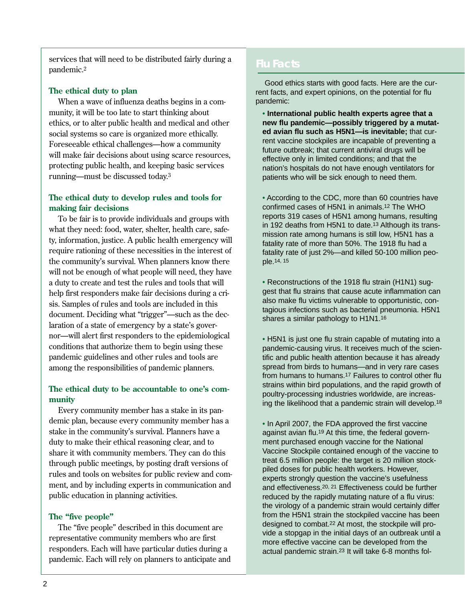ser vices that will need to be distributed fairly during a pandemic.2

## **The ethical duty to plan**

When a wave of influenza deaths begins in a community, it will be too late to start thinking about ethics, or to alter public health and medical and other social systems so care is organized more ethically. Foreseeable ethical challenges—how a community will make fair decisions about using scarce resources, protecting public health, and keeping basic ser vices running—must be discussed today.<sup>3</sup>

## **The ethical duty to develop rules and tools for making fair decisions**

To be fair is to provide individuals and groups with what they need: food, water, shelter, health care, safety, information, justice. A public health emergency will require rationing of these necessities in the interest of the community's sur vival. When planners know there will not be enough of what people will need, they have a duty to create and test the rules and tools that will help first responders make fair decisions during a crisis. Samples of rules and tools are included in this document. Deciding what "trigger"—such as the declaration of a state of emergency by a state's governor—will alert first responders to the epidemiological conditions that authorize them to begin using these pandemic guidelines and other rules and tools are among the responsibilities of pandemic planners.

## **The ethical duty to be accountable to one's community**

Every community member has a stake in its pandemic plan, because every community member has a stake in the community's sur vival. Planners have a duty to make their ethical reasoning clear, and to share it with community members. They can do this through public meetings, by posting draft versions of rules and tools on websites for public review and comment, and by including experts in communication and public education in planning activities.

## **The "five people"**

The "five people" described in this document are representative community members who are first responders. Each will have par ticular duties during a pandemic. Each will rely on planners to anticipate and

## **Flu Facts**

Good ethics starts with good facts. Here are the current facts, and expert opinions, on the potential for flu pandemic:

• **International public health experts agree that a new flu pandemic—possibly triggered by a mutated avian flu such as H5N1—is inevitable;** that current vaccine stockpiles are incapable of preventing a future outbreak; that current antiviral drugs will be effective only in limited conditions; and that the nation's hospitals do not have enough ventilators for patients who will be sick enough to need them.

• According to the CDC, more than 60 countries have confirmed cases of H5N1 in animals.12 The WHO reports 319 cases of H5N1 among humans, resulting in 192 deaths from H5N1 to date.13 Although its transmission rate among humans is still low, H5N1 has a fatality rate of more than 50%. The 1918 flu had a fatality rate of just 2%—and killed 50-100 million people.14, 15

• Reconstructions of the 1918 flu strain (H1N1) suggest that flu strains that cause acute inflammation can also make flu victims vulnerable to opportunistic, contagious infections such as bacterial pneumonia. H5N1 shares a similar pathology to H1N1.16

• H5N1 is just one flu strain capable of mutating into a pandemic-causing virus. It receives much of the scientific and public health attention because it has already spread from birds to humans—and in very rare cases from humans to humans.17 Failures to control other flu strains within bird populations, and the rapid growth of poultry-processing industries worldwide, are increasing the likelihood that a pandemic strain will develop.18

• In April 2007, the FDA approved the first vaccine against avian flu.19 At this time, the federal government purchased enough vaccine for the National Vaccine Stockpile contained enough of the vaccine to treat 6.5 million people: the target is 20 million stockpiled doses for public health workers. However, experts strongly question the vaccine's usefulness and effectiveness.20, 21 Effectiveness could be further reduced by the rapidly mutating nature of a flu virus: the virology of a pandemic strain would certainly differ from the H5N1 strain the stockpiled vaccine has been designed to combat.22 At most, the stockpile will provide a stopgap in the initial days of an outbreak until a more effective vaccine can be developed from the actual pandemic strain.23 It will take 6-8 months fol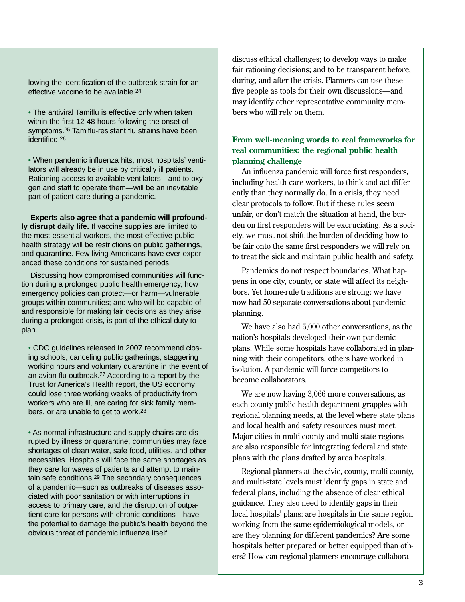lowing the identification of the outbreak strain for an effective vaccine to be available.24

• The antiviral Tamiflu is effective only when taken within the first 12-48 hours following the onset of symptoms.25 Tamiflu-resistant flu strains have been identified.26

• When pandemic influenza hits, most hospitals' ventilators will already be in use by critically ill patients. Rationing access to available ventilators—and to oxygen and staff to operate them—will be an inevitable part of patient care during a pandemic.

**Experts also agree that a pandemic will profoundly disrupt daily life.** If vaccine supplies are limited to the most essential workers, the most effective public health strategy will be restrictions on public gatherings, and quarantine. Few living Americans have ever experienced these conditions for sustained periods.

Discussing how compromised communities will function during a prolonged public health emergency, how emergency policies can protect—or harm—vulnerable groups within communities; and who will be capable of and responsible for making fair decisions as they arise during a prolonged crisis, is part of the ethical duty to plan.

• CDC guidelines released in 2007 recommend closing schools, canceling public gatherings, staggering working hours and voluntary quarantine in the event of an avian flu outbreak.27 According to a report by the Trust for America's Health report, the US economy could lose three working weeks of productivity from workers who are ill, are caring for sick family members, or are unable to get to work.28

• As normal infrastructure and supply chains are disrupted by illness or quarantine, communities may face shortages of clean water, safe food, utilities, and other necessities. Hospitals will face the same shortages as they care for waves of patients and attempt to maintain safe conditions.29 The secondary consequences of a pandemic—such as outbreaks of diseases associated with poor sanitation or with interruptions in access to primary care, and the disruption of outpatient care for persons with chronic conditions—have the potential to damage the public's health beyond the obvious threat of pandemic influenza itself.

discuss ethical challenges; to develop ways to make fair rationing decisions; and to be transparent before, during, and after the crisis. Planners can use these five people as tools for their own discussions—and may identify other representative community members who will rely on them.

## **From well-meaning words to real frameworks for real communities: the regional public health planning challenge**

An influenza pandemic will force first responders, including health care workers, to think and act differently than they normally do. In a crisis, they need clear protocols to follow. But if these rules seem unfair, or don't match the situation at hand, the burden on first responders will be excruciating. As a society, we must not shift the burden of deciding how to be fair onto the same first responders we will rely on to treat the sick and maintain public health and safety.

Pandemics do not respect boundaries. What happens in one city, county, or state will affect its neighbors. Yet home-rule traditions are strong: we have now had 50 separate conversations about pandemic planning.

We have also had 5,000 other conversations, as the nation's hospitals developed their own pandemic plans. While some hospitals have collaborated in planning with their competitors, others have worked in isolation. A pandemic will force competitors to become collaborators.

We are now having 3,066 more conversations, as each county public health department grapples with regional planning needs, at the level where state plans and local health and safety resources must meet. Major cities in multi-county and multi-state regions are also responsible for integrating federal and state plans with the plans drafted by area hospitals.

Regional planners at the civic, county, multi-county, and multi-state levels must identify gaps in state and federal plans, including the absence of clear ethical guidance. They also need to identify gaps in their local hospitals' plans: are hospitals in the same region working from the same epidemiological models, or are they planning for different pandemics? Are some hospitals better prepared or better equipped than others? How can regional planners encourage collabora-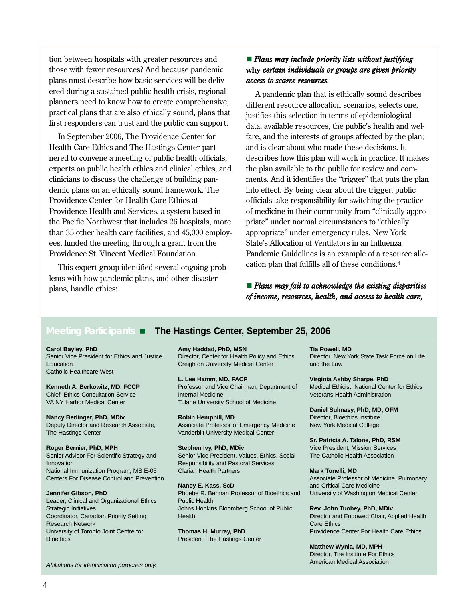tion between hospitals with greater resources and *Plans may include priority lists without justifying* those with fewer resources? And because pandemic **why** *certain individuals or groups are given priority* plans must describe how basic services will be deliv-*access to scarce resources.* ered during a sustained public health crisis, regional A pandemic plan that is ethically sound describes planners need to know how to create comprehensive, different resource allocation scenarios, selects one, practical pl

Health Care Ethics and The Hastings Center part and is clear about who made these decisions. It experts on public health ethics and clinical ethics, and the plan available to the public for review and comdemic plans on an ethically sound framework. The into effect. By being clear about the trigger, public Providence Center for Health Care Ethics at officials take responsibility for switching the practice Providence Health and Services, a system based in of medicine in their community from "clinically approthe Pacific Northwest that includes 26 hospitals, more priate" under normal circumstances to "ethically than 35 other health care facilities, and 45,000 employ appropriate" under emergency rules. New York ees, funded the meeting through a grant from the State's Allocation of Ventilators in an Influenza Providence St. Vincent Medical Foundation. Pandemic Guidelines is an example of a resource allo-

This expert group identified several ongoing prob-<br>cation plan that fulfills all of these conditions.<sup>4</sup> lems with how pandemic plans, and other disaster plans, handle ethics: **Plansmay fail to acknowledge the existing disparities** 

practical plans that are also ethically sound, plans that justifies this selection in terms of epidemiological first responders can trust and the public can support. data, available resources, the public's health and wel-In September 2006, The Providence Center for fare, and the interests of groups affected by the plan; nered to convene a meeting of public health officials, describes how this plan will work in practice. It makes clinicians to discuss the challenge of building pan ments. And it identifies the "trigger" that puts the plan

*of income, resources, health, and access to health care,* 

## **Meeting Participants The Hastings Center, September 25, 2006**

Catholic Healthcare West

The Hastings Center Vanderbilt University Medical Center

**Roger Bernier, PhD, MPH Stephen Ivy, PhD, MDiv Community Community Community Community PhD, MDiv Community Community Vice President, Mission Services** Innovation Responsibility and Pastoral Services

Leader, Clinical and Organizational Ethics Public Health Research Network Care Ethics Care Ethics Care Ethics Care Ethics Care Ethics Care Ethics Care Ethics Care Ethics Bioethics **President, The Hastings Center** 

**Carol Bayley, PhD Amy Haddad, PhD, MSN Tia Powell, MD** Senior Vice President for Ethics and Justice Director, Center for Health Policy and Ethics Director, New York State Task Force on Life Education **Education Creighton University Medical Center** and the Law

**L. Lee Hamm, MD, FACP Virginia Ashby Sharpe, PhD Kenneth A. Berkowitz, MD, FCCP** Professor and Vice Chairman, Department of Medical Ethicist, National Center for Ethics Chief, Ethics Consultation Service **Internal Medicine** Internal Medicine Veterans Health Administration<br>VA NY Harbor Medical Center **Internal Veterans Health Administration** Tulane University School of Medicine

**Nancy Berlinger, PhD, MDiv <b>Robin Hemphill, MD Director, Bioethics Institute Robin Hemphill, MD Director, Bioethics Institute** Deputy Director and Research Associate, Associate Professor of Emergency Medicine New York Medical College

Senior Advisor For Scientific Strategy and Senior Vice President, Values, Ethics, Social The Catholic Health Association National Immunization Program, MS E-05 Clarian Health Partners **Mark Tonelli, MD** 

**Nancy E. Kass, ScD and Critical Care Medicine Jennifer Gibson, PhD** Phoebe R. Berman Professor of Bioethics and University of Washington Medical Center Strategic Initiatives **Johns Hopkins Bloomberg School of Public Rev. John Tuohey, PhD, MDiv Johns Hopkins Bloomberg School of Public Rev. John Tuohey, PhD, MDiv** Coordinator, Canadian Priority Setting Health Health Director and Endowed Chair, Applied Health

**Daniel Sulmasy, PhD, MD, OFM** 

**Sr. Patricia A. Talone, PhD, RSM** 

Centers For Disease Control and Prevention Associate Professor of Medicine, Pulmonary

University of Toronto Joint Centre for **Thomas H. Murray, PhD** Providence Center For Health Care Ethics

**Matthew Wynia, MD, MPH**  Director, The Institute For Ethics

American Medical Association *Affiliations for identification purposes only.*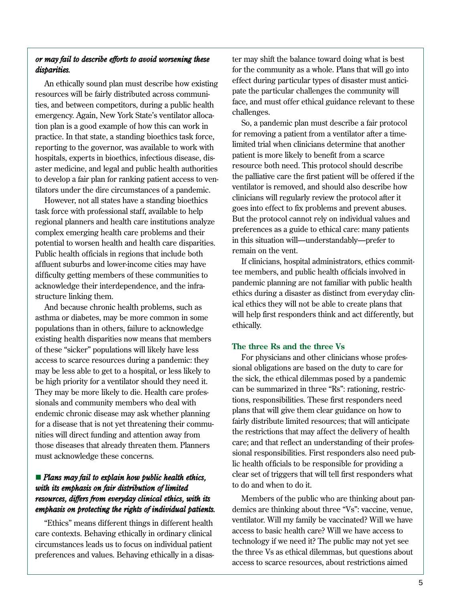# *or may fail to describe efforts to avoid worsening these* ter may shift the balance toward doing what is best

emergency. Again, New York State's ventilator alloca-<br>tion plan is a good example of how this can work in<br>practice. In that state a standing bioethics task force for removing a patient from a ventilator after a timefor removing a patient from a ventilator after a time-<br>measuring to the generator was evoluable to work with limited trial when clinicians determine that another reporting to the governor, was available to work with<br>here that when clinicians determine that an<br>patient is more likely to benefit from a scarce<br>patient is more likely to benefit from a scarce hospitals, experts in bioethics, infectious disease, disaster medicine, and legal and public health authorities resource both need. This protocol should describe<br>to develop a fair plan for rapling patient access to you to develop a fair plan for ranking patient access to ven-<br>tilator is removed, and should also describe how<br>tilators under the dire circumstances of a pandemic<br>tilator is removed, and should also describe how

task force with professional staff, available to help goes into effect to fix problems and prevent abuses.<br>Force and professional staff, available to help goes into effect to fix problems and prevent abuses and regional planners and health care institutions analyze<br>
complex emerging health care problems and their<br>
preferences as a guide to ethical care: many patients<br>
preferences as a guide to ethical care: many patients<br>
in this potential to worsen health and health care disparities. In this situation will-<br>public health officials in regions that include both remain on the vent. Public health officials in regions that include both<br> **Example 1996** Fermain on the vent.<br>
If clinicians, hospital administrators, ethics commit-

asthma or diabetes, may be more common in some will help<br>populations than in others, failure to acknowledge ethically. existing health disparities now means that members of these "sicker" populations will likely have less **The three Rs and the three Vs**<br>access to scarce resources during a pandemic: they **For physicians and other clinicians whose profes-**<br>may be less able to get to a bospit may be less able to get to a hospital, or less likely to sional obligations are based on the duty to care for<br>hospital objects a ventilator should thou need it the sick, the ethical dilemmas posed by a pandemic

# *resources, differs from everyday clinical ethics, with its*Members of the public who are thinking about pan-

*disparities.* The community as a whole. Plans that will go into the community as a whole. Plans that will go into An ethically sound plan must describe how existing<br>resources will be fairly distributed across communi-<br>ties, and between competitors, during a public health<br>face, and must offer ethical guidance relevant to these<br>competit

ventilator is removed, and should also describe how tilators under the dire circumstances of a pandemic.<br>Lowcare not all states how a standing biosthics clinicians will regularly review the protocol after it However, not all states have a standing bioethics clinicians will regularly review the protocol after it<br>have standing bioethics and prevent abuses.

affluent suburbs and lower-income cities may have<br>difficulty getting members of these communities to<br>acknowledge their interdependence, and the infra-<br>pandemic planning are not familiar with public health structure linking them.<br>And because chronic health problems, such as  $\frac{1}{100}$  ical ethics they will not be able to create plans that And because chronic health problems, such as<br>the to create plans that And act differently, but<br>will help first responders think and act differently, but

be high priority for a ventilator should they need it.<br>
They may be more likely to die. Health care professionals and community members who deal with<br>
endemic chronic disease may ask whether planning<br>
for a disease that is must acknowledge these concerns. sional responsibilities. First responders also need public health officials to be responsible for providing a **Plans may fail to explain how public health ethics,** clear set of triggers that will tell first responders what *with its emphasis on fair distribution of limited* to do and when to do it.

*emphasis on protecting the rights of individual patients.* demics are thinking about three "Vs": vaccine, venue, ventilator. Will my family be vaccinated? Will we have "Ethics" means different things in different health care contexts. Behaving ethically in ordinary clinical access to basic health care? Will we have access to circumstances leads us to focus on individual patient technology if we need it? The public may not yet see the fore preferences and values. Behaving ethically in a disas about preferences about preferences and values. Behaving ethically in a disas access to scarce resources, about restrictions aimed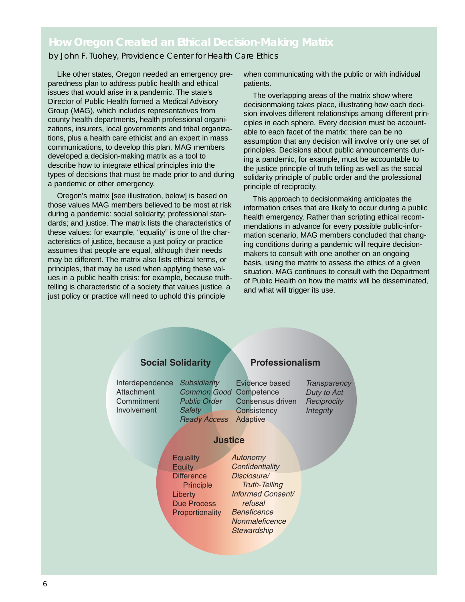## **How Oregon Created an Ethical Decision-Making Matrix**

by John F. Tuohey, *Providence Center for Health Care Ethics* 

Like other states, Oregon needed an emergency preparedness plan to address public health and ethical issues that would arise in a pandemic. The state's Director of Public Health formed a Medical Advisory Group (MAG), which includes representatives from county health departments, health professional organizations, insurers, local governments and tribal organizations, plus a health care ethicist and an expert in mass communications, to develop this plan. MAG members developed a decision-making matrix as a tool to describe how to integrate ethical principles into the types of decisions that must be made prior to and during a pandemic or other emergency.

Oregon's matrix [see illustration, below] is based on those values MAG members believed to be most at risk during a pandemic: social solidarity; professional standards; and justice. The matrix lists the characteristics of these values: for example, "equality" is one of the characteristics of justice, because a just policy or practice assumes that people are equal, although their needs may be different. The matrix also lists ethical terms, or principles, that may be used when applying these values in a public health crisis: for example, because truthtelling is characteristic of a society that values justice, a just policy or practice will need to uphold this principle

when communicating with the public or with individual patients.

The overlapping areas of the matrix show where decisionmaking takes place, illustrating how each decision involves different relationships among different principles in each sphere. Every decision must be accountable to each facet of the matrix: there can be no assumption that any decision will involve only one set of principles. Decisions about public announcements during a pandemic, for example, must be accountable to the justice principle of truth telling as well as the social solidarity principle of public order and the professional principle of reciprocity.

This approach to decisionmaking anticipates the information crises that are likely to occur during a public health emergency. Rather than scripting ethical recommendations in advance for every possible public-information scenario, MAG members concluded that changing conditions during a pandemic will require decisionmakers to consult with one another on an ongoing basis, using the matrix to assess the ethics of a given situation. MAG continues to consult with the Department of Public Health on how the matrix will be disseminated, and what will trigger its use.

## **Social Solidarity Professionalism**

Interdependence *Subsidiarity*  **Attachment Commitment** Involvement

*Common Good*  Competence *Public Order Safety Ready Access*  Adaptive

Evidence based Consensus driven **Consistency** 

*Transparency Duty to Act Reciprocity Integrity* 

## **Justice**

**Equality Equity Difference Principle Liberty** Due Process **Proportionality** 

*Confidentiality Disclosure/ Truth-Telling Informed Consent/ refusal Beneficence Nonmaleficence Stewardship* 

*Autonomy*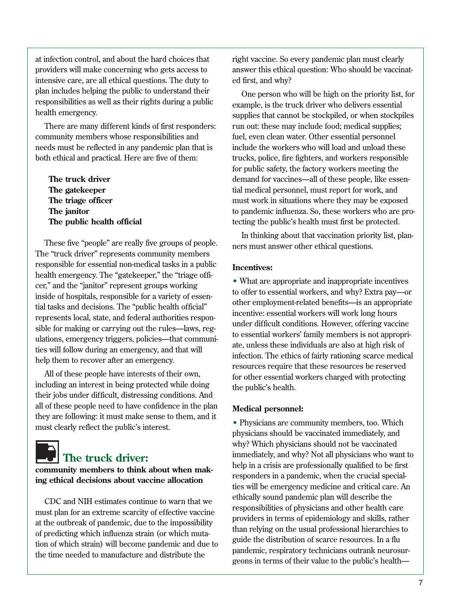at infection control, and about the hard choices that right vaccine. So every pandemic plan must clearly intensive care, are all ethical questions. The duty to ed first, and why? plan includes helping the public to understand their<br>responsibilities as well as their rights during a public<br>health emergency.<br>sumplies that cannot be stockniled or when stockniles

There are many different kinds of first responders: run out: these may include food; medical supplies; community members whose responsibilities and fuel, even clean water. Other essential personnel needs must be reflected in any pandemic plan that is include the workers who will load and unload these both ethical and practical. Here are five of them: trucks, police, fire fighters, and workers responsible

The "truck driver" represents community members responsible for essential non-medical tasks in a public **Incentives:** health emergency. The "gatekeeper," the "triage of fi-

including an interest in being protected while doing the public's health. their jobs under difficult, distressing conditions. And all of these people need to have confidence in the plan **Medical personnel:** they are following: it must make sense to them, and it

providers will make concerning who gets access to answer this ethical question: Who should be vaccinat-

supplies that cannot be stockpiled, or when stockpiles for public safety, the factory workers meeting the **The truck driver demand for vaccines—all of these people, like essen-The gatekeeper tial medical personnel, must report for work, and The triage officer must work in situations where they may be exposed The janitor The janitor to pandemic influenza.** So, these workers who are pro-**The public health official in the public setting the public's health must first be protected.** 

In thinking about that vaccination priority list, plan-<br>These five "people" are really five groups of people.<br>In thinking about that vaccination priority list, plan-<br> $\frac{1}{2}$ 

and the "janitor" represent groups working<br>
inside of hospitals, responsible for a variety of essen-<br>
tial tasks and decisions. The "public health official"<br>
thereuployment-related benefits—is an appropriate<br>
tial tasks an All of these people have interests of their own, for other essential workers charged with protecting

• Physicians are community members, too. Which must clearly reflect the public's interest. <br>• Physicians should be vaccinated immediately, and why? Which physicians should not be vaccinated **The truck driver:**<br> **Example 19 The truck driver:**<br> **Example 19 The truck driver:**<br> **Example 19 The truck driver:**<br> **Example 19 The truck driver:**<br> **Example 19 The truck driver:**<br> **Example 19 The 19 The Truck driver:**<br> **E** CDC and NIH estimates continue to warn that we<br>must plan for an extreme scarcity of effective vaccine<br>at the outbreak of pandemic, due to the impossibility<br>of predicting which influenza strain (or which muta-<br>tion of which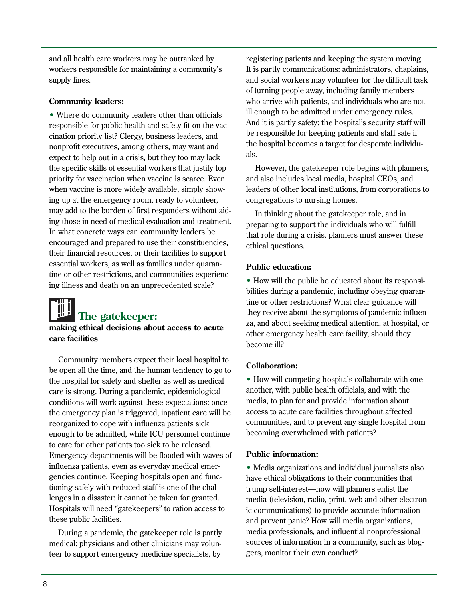• Where do community leaders other than officials ill enough to be admitted under emergency rules.<br>
responsible for public health and safety fit on the vacuum and cination priority list? Clergy, business leaders, and the p priority for vaccination when vaccine is scarce. Even and also includes local media, hospital CEOs, and ing up at the emergency room, ready to volunteer, congregations to nursing homes. may add to the burden of first responders without aid- In thinking about the gatekeeper role, and in ing those in need of medical evaluation and treatment.<br>In what concrete ways can community leaders be that role during a crisis planners must answer the encouraged and prepared to use their constituencies, ethical questions. their financial resources, or their facilities to support essential workers, as well as families under quaran- **Public education:**  tine or other restrictions, and communities experienc

Community members expect their local hospital to be open all the time, and the human tendency to go to **Collaboration:** the hospital for safety and shelter as well as medical • How will competing hospitals collaborate with one care is strong. During a pandemic, epidemiological another, with public health of ficials, and with the conditions will work against these expectations: once media, to plan for and provide information about the emergency plan is triggered, inpatient care will be access to acute care facilities throughout affected reorganized to cope with influenza patients sick communities, and to prevent any single hospital from enough to be admitted, while ICU personnel continue becoming over whelmed with patients? to care for other patients too sick to be released. Emergency departments will be flooded with waves of Public information: influenza patients, even as everyday medical emer-<br>• Media organizations and individual journalists also gencies continue. Keeping hospitals open and func- have ethical obligations to their communities that tioning safely with reduced staff is one of the chal-<br>trump self-interest—how will planners enlist the Hospitals will need "gatekeepers" to ration access to ic communications) to provide accurate information

teer to support emergency medicine specialists, by gers, monitor their own conduct?

and all health care workers may be outranked by registering patients and keeping the system moving. workers responsible for maintaining a community's It is partly communications: administrators, chaplains, supply lines. And social workers may volunteer for the difficult task of turning people away, including family members **Community leaders:**  $\blacksquare$  who arrive with patients, and individuals who are not

the specific skills of essential workers that justify top However, the gatekeeper role begins with planners, when vaccine is more widely available, simply show-<br>leaders of other local institutions, from corporations to

that role during a crisis, planners must answer these

• How will the public be educated about its responsing illness and death on an unprecedented scale?<br>bilities during a pandemic, including obeying quarantine or other restrictions? What clear guidance will The gatekeeper:<br>
making ethical decisions about access to acute<br>
care facilities<br>
care facilities<br>
care facilities<br>
care facilities<br>
care facilities<br>
care facilities<br>
care facilities<br>
care facilities<br>
care facilities<br>
care

lenges in a disaster: it cannot be taken for granted. media (television, radio, print, web and other electron these public facilities. and prevent panic? How will media organizations, During a pandemic, the gatekeeper role is partly media professionals, and influential nonprofessional medical: physicians and other clinicians may volun-sources of information in a community, such as blog-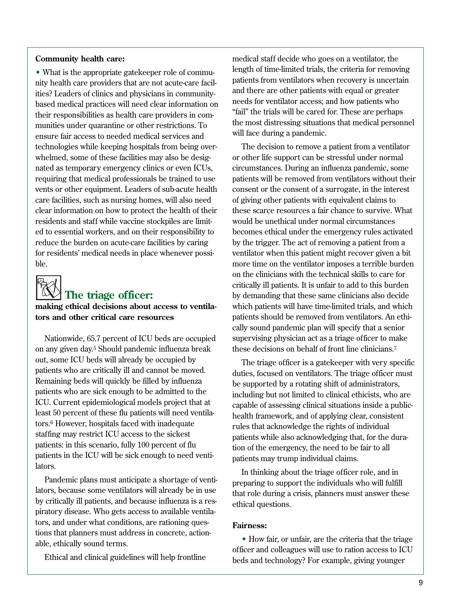## **Community health care:**

• What is the appropriate gatekeeper role of community health care providers that are not acute-care facilities? Leaders of clinics and physicians in communitybased medical practices will need clear information on their responsibilities as health care providers in communities under quarantine or other restrictions. To ensure fair access to needed medical ser vices and technologies while keeping hospitals from being overwhelmed, some of these facilities may also be designated as temporary emergency clinics or even ICUs, requiring that medical professionals be trained to use vents or other equipment. Leaders of sub-acute health care facilities, such as nursing homes, will also need clear information on how to protect the health of their residents and staff while vaccine stockpiles are limited to essential workers, and on their responsibility to reduce the burden on acute-care facilities by caring for residents' medical needs in place whenever possible.



## The triage officer:

**making ethical decisions about access to ventilators and other critical care resources** 

Nationwide, 65.7 percent of ICU beds are occupied on any given day.5 Should pandemic influenza break out, some ICU beds will already be occupied by patients who are critically ill and cannot be moved. Remaining beds will quickly be filled by influenza patients who are sick enough to be admitted to the ICU. Current epidemiological models project that at least 50 percent of these flu patients will need ventilators.6 However, hospitals faced with inadequate staffing may restrict ICU access to the sickest patients: in this scenario, fully 100 percent of flu patients in the ICU will be sick enough to need ventilators.

Pandemic plans must anticipate a shor tage of ventilators, because some ventilators will already be in use by critically ill patients, and because influenza is a respiratory disease. Who gets access to available ventilators, and under what conditions, are rationing questions that planners must address in concrete, actionable, ethically sound terms.

Ethical and clinical guidelines will help frontline

medical staff decide who goes on a ventilator, the length of time-limited trials, the criteria for removing patients from ventilators when recovery is uncertain and there are other patients with equal or greater needs for ventilator access; and how patients who "fail" the trials will be cared for. These are perhaps the most distressing situations that medical personnel will face during a pandemic.

The decision to remove a patient from a ventilator or other life support can be stressful under normal circumstances. During an influenza pandemic, some patients will be removed from ventilators without their consent or the consent of a surrogate, in the interest of giving other patients with equivalent claims to these scarce resources a fair chance to sur vive. What would be unethical under normal circumstances becomes ethical under the emergency rules activated by the trigger. The act of removing a patient from a ventilator when this patient might recover given a bit more time on the ventilator imposes a terrible burden on the clinicians with the technical skills to care for critically ill patients. It is unfair to add to this burden by demanding that these same clinicians also decide which patients will have time-limited trials, and which patients should be removed from ventilators. An ethically sound pandemic plan will specify that a senior super vising physician act as a triage officer to make these decisions on behalf of front line clinicians.7

The triage officer is a gate keeper with very specific duties, focused on ventilators. The triage officer must be suppor ted by a rotating shift of administrators, including but not limited to clinical ethicists, who are capable of assessing clinical situations inside a publichealth framework, and of applying clear, consistent rules that acknowledge the rights of individual patients while also acknowledging that, for the duration of the emergency, the need to be fair to all patients may trump individual claims.

In thinking about the triage officer role, and in preparing to support the individuals who will fulfill that role during a crisis, planners must answer these ethical questions.

### **Fairness:**

• How fair, or unfair, are the criteria that the triage of ficer and colleagues will use to ration access to ICU beds and technology? For example, giving younger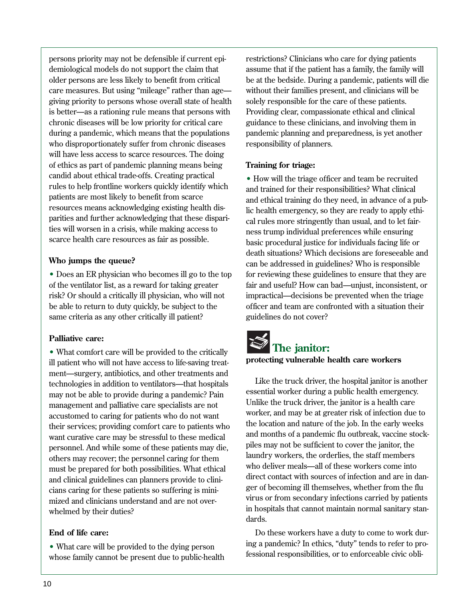persons priority may not be defensible if current epi- restrictions? Clinicians who care for dying patients demiological models do not support the claim that assume that if the patient has a family, the family will care measures. But using "mileage" rather than age— without their families present, and clinicians will be giving priority to persons whose overall state of health solely responsible for the care of these patients. is better—as a rationing rule means that persons with Providing clear, compassionate ethical and clinical chronic diseases will be low priority for critical care guidance to these clinicians, and involving them in during a pandemic, which means that the populations pandemic planning and preparedness, is yet another who disproportionately suffer from chronic diseases responsibility of planners. will have less access to scarce resources. The doing of ethics as par t of pandemic planning means being **Training for triage:**  candid about ethical trade-offs. Creating practical • How will the triage officer and team be recruited rules to help frontline workers quickly identify which and trained for their responsibilities? What clinical patients are most likely to benefit from scarce patients are most likely to benefit from scarce<br>resources means acknowledging existing health dis-<br>parities and further acknowledging that these dispari-<br>ties will worsen in a crisis, while making access to<br>ties trump indi

• Does an ER physician who becomes ill go to the top for reviewing these guidelines to ensure that they are of the ventilator list, as a reward for taking greater fair and useful? How can bad—unjust, inconsistent, or risk? Or should a critically ill physician, who will not impractical—decisions be prevented when the triage be able to return to duty quickly, be subject to the officer and team are confronted with a situation their same criteria as any other critically ill patient? guidelines do not cover?

## **Palliative care:**

• What comfort care will be provided to the critically **The janitor:**<br>ill patient who will not have access to life saving treat **protecting vulnerable health care workers** ill patient who will not have access to life-saving treatment—surgery, antibiotics, and other treatments and<br>technologies in addition to ventilators—that hospitals<br>may not be able to provide during a pandemic? Pain essential worker during a public health emergency. may not be able to provide during a pandemic? Pain essential worker during a public health emergency<br>Unlike the truck driver, the janitor is a health care management and palliative care specialists are not<br>example the truck driver, the janitor is a health care<br>worker, and may be at greater risk of infection due to accustomed to caring for patients who do not want<br>their services: previding comfort or to patients who the location and nature of the job. In the early weeks want curative care may be stressful to these medical<br>personnel. And while some of these patients may die,<br>others may recover; the personnel caring for them<br>must be general for both possibilities. What othical<br>who deliver m and clinical guidelines can planners provide to clinimized and clinicians understand and are not over-

older persons are less likely to benefit from critical be at the bedside. During a pandemic, patients will die

scarce health care resources as fair as possible. basic procedural justice for individuals facing life or death situations? Which decisions are foreseeable and **Who jumps the queue? can be addressed in guidelines?** Who is responsible

their services; providing comfort care to patients who the location and nature of the job. In the early weeks<br>want curative care may be stressful to these medical and months of a pandemic flu outbreak, vaccine stockmust be prepared for both possibilities. What ethical who deliver meals—all of these workers come into<br>and clinical guidelines can planners provide to clinical direct contact with sources of infection and are in dancians caring for these patients so suffering is mini-<br>mized and clinicians understand and are not over-<br>wirus or from secondary infections carried by patients whelmed by their duties?<br>dards. This is hospitals that cannot maintain normal sanitary standards.

**End of life care:** Do these workers have a duty to come to work dur-• What care will be provided to the dying person ing a pandemic? In ethics, "duty" tends to refer to pro-<br>whose family cannot be present due to public-health fessional responsibilities, or to enforceable civic obli-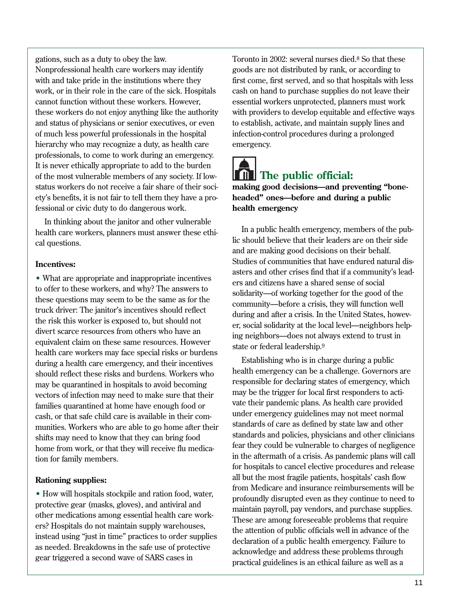gations, such as a duty to obey the law. Toronto in 2002: several nurses died.8 So that these Nonprofessional health care workers may identify goods are not distributed by rank, or according to with and take pride in the institutions where they first come, first served, and so that hospitals with less work, or in their role in the care of the sick. Hospitals cash on hand to purchase supplies do not leave their cannot function without these workers. However, essential workers unprotected, planners must work these workers do not enjoy anything like the authority with providers to develop equitable and effective ways and status of physicians or senior executives, or even to establish, activate, and maintain supply lines and of much less power ful professionals in the hospital infection-control procedures during a prolonged hierarchy who may recognize a duty, as health care emergency. professionals, to come to work during an emergency. It is never ethically appropriate to add to the burden of the most vulnerable members of any society. If low- **The public of ficial:**  status workers do not receive a fair share of their soci- **making good decisions—and preventing "bone**ety's benefits, it is not fair to tell them they have a pro- **headed" ones—before and during a public**  fessional or civic duty to do dangerous work. **health emergency** 

In thinking about the janitor and other vulnerable<br>
In a public health emergency, members of the pub-<br>
In a public health emergency, members of the public should believe that their leaders are on their side cal questions.

• What are appropriate and inappropriate incentives<br>to offer to these workers, and why? The answers to<br>these questions may seem to be the same as for the<br>truck driver: The janitor's incentives should reflect<br>the risk this Example the call of these same resources. However<br>
tate or federal leadership.<sup>9</sup><br>
during a health care emergency, and their incentives<br>
should reflect these risks and burdens. Workers who<br>
may be quarantined in health spe may be quarantined in hospitals to avoid becoming responsible for declaring states of emergency, which responsible for the trigger for local first responders to activectors of infection may need to make sure that their may be the trigger for local first responders to acti-<br>families quarantined at home have enough food or vate their pandemic plans. As health care provided<br>under emergen cash, or that safe child care is available in their com-<br>munities Workers who are able to go home after their standards of care as defined by state law and other munities. Workers who are able to go home after their standards of care as defined by state law and other<br>standards and policies, physicians and other clinicians



and are making good decisions on their behalf. Studies of communities that have endured natural dis- **Incentives:**  asters and other crises find that if a community's lead

shifts may need to know that they can bring food<br>home from work, or that they will receive flu medica-<br>tion for family members.<br>tion for family members.<br>tion for family members.<br>tion for family members.<br>tion for family mem **Rationing supplies:**<br>
• How will hospitals stockpile and ration food, water,<br>
• How will hospitals stockpile and ration food, water, • How will hospitals stockpile and ration food, water,<br>profoundly disrupted even as they continue to need to<br>other medications among essential health care work-<br>ers? Hospitals do not maintain supply warehouses,<br>instead usi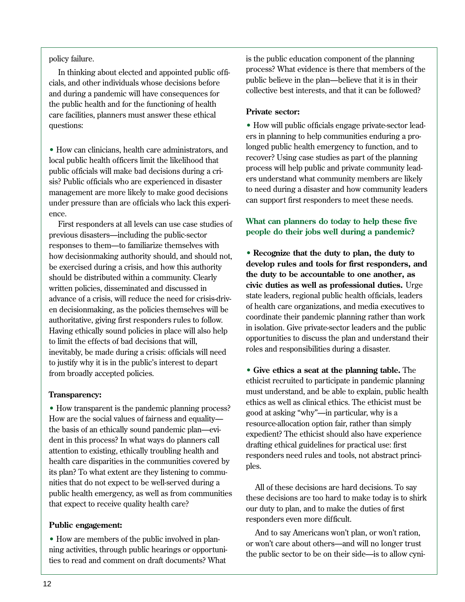public believe in the plan—believe that it is in their cials, and other individuals whose decisions before and during a pandemic will have consequences for the public health and for the functioning of health **Private sector:** care facilities, planners must answer these ethical

local public health officers limit the likelihood that recover? Using case studies as part of the planning<br>process will help public and private community leadpublic officials will make bad decisions during a crimanagement are more likely to make good decisions to need during a disaster and now community leader<br>than are officials who lack this experiment and support first responders to meet these needs. under pressure than are officials who lack this experience.

**people do their jobs well during a pandemic?** previous disasters—including the public-sector responses to them—to familiarize themselves with how decisionmaking authority should, and should not, **Recognize that the duty to plan, the duty to** be exercised during a crisis, and how this authority develop rules and tools for first responders, and <br> **develop rules and tools for first responders, and**<br>
the duty to be accountable to one another, as should be distributed within a community. Clearly **the duty to be accountable to one another, as**<br>**the duty of the duty of the community.** Clearly **the duty of the accountable to one another,** as<br>**civic duties as well as p civic duties as well as professional duties.** Urge educates discussed in **civic duties** as **well as professional duties.** Urge educate of a crisis will reduce the need for crisis drive state leaders, regional public healt state leaders, regional public health of ficials, leaders advance of a crisis, will reduce the need for crisis-driv-<br>or decision metrics as the policies the metric will be of health care organizations, and media executives en decisionmaking, as the policies themselves will be of health care organizations, and media executives to enumine rather than work authoritative, giving first responders rules to follow.<br>
Having ethically sound policies in place will also help in isolation. Give private-sector leaders and the public Having ethically sound policies in place will also help the public Having ethically sound policies in place will also help opportunities to discuss the plan and understand their opportunities to discuss the plan and unders inevitably, be made during a crisis: of ficials will need. to justify why it is in the public's interest to depart

• How transparent is the pandemic planning process?<br>
How are the social values of fairness and equality—<br>
the basis of an ethically sound pandemic plan—evi-<br>
dent in this process? In what ways do planners call<br>
attention t nities that do not expect to be well-served during a<br>public health emergency, as well as from communities<br>that expect to receive quality health care?<br>that expect to receive quality health care?<br>quality health care?

• Trow are members of the public hearings or opportuni-<br>high activities, through public hearings or opportuni-<br>ties to read and comment on draft documents? What

policy failure. The public education component of the planning policy failure. In thinking about elected and appointed public of fi-<br>
In thinking about elected and appointed public of fi-<br>
public believe in the plan—believe that it is in their<br>
public believe in the plan—believe that it is in their

questions: • How will public of ficials engage private-sector leaders in planning to help communities enduring a pro-• How can clinicians, health care administrators, and  $\frac{1}{10}$  hoged public health emergency to function, and to recover? Using case studies as part of the planning sis? Public officials who are experienced in disaster ers understand what community members are likely<br>to need during a disaster and how community leaders

# First responders at all levels can use case studies of **What can planners do today to help these five**

**• Give ethics a seat at the planning table.** The ethicist recruited to participate in pandemic planning **Transparency:**<br>
• How transparent is the pandemic planning process?<br>
• How transparent is the pandemic planning process?<br>
• The ethical ethics. The ethicist must be

**Public engagement:**<br>
• How are members of the public involved in plan-<br>
• How are members of the public involved in plan-<br>
• And to say Americans won't plan, or won't ration,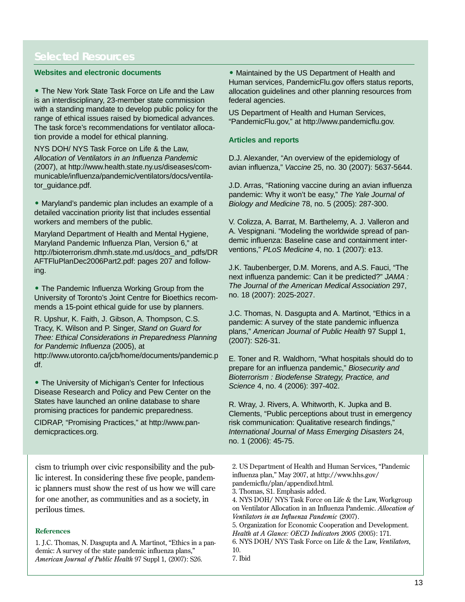is an interdisciplinary, 23-member state commission federal agencies. with a standing mandate to develop public policy for the US Department of Health and Human Services,<br>range of ethical issues raised by biomedical advances. "PandemicFlu.gov," at http://www.pandemicflu.gov.<br>The task force's tion provide a model for ethical planning. **Articles and reports** 

NYS DOH/ NYS Task Force on Life & the Law, *Allocation of Ventilators in an Influenza Pandemic* D.J. Alexander, "An overview of the epidemiology of municable/influenza/pandemic/ventilators/docs/ventila-

• Maryland's pandemic plan includes an example of a *Biology and Medicine* 78, no. 5 (2005): 287-300. detailed vaccination priority list that includes essential workers and members of the public. V. Colizza, A. Barrat, M. Barthelemy, A. J. Valleron and

Maryland Pandemic Influenza Plan, Version 6," at demic influenza: Baseline case and containmer<br>http://bioterrerism.dhmb.state.md.us/docs\_and\_pdfs/DP\_\_\_\_ventions," PLoS Medicine 4, no. 1 (2007): e13. http://bioterrorism.dhmh.state.md.us/docs\_and\_pdfs/DR AFTFluPlanDec2006Part2.pdf: pages 207 and follow- J.K. Taubenberger, D.M. Morens, and A.S. Fauci, "The ing. next influenza pandemic: Can it be predicted?" *JAMA :* 

• The Pandemic Influenza Working Group from the *The Journal of the American Medical Association* 297,<br>University of Toronto's Joint Centre for Bioethics recom- no. 18 (2007): 2025-2027.

mends a 15-point ethical guide for use by planners.<br>
R. Upshur, K. Faith, J. Gibson, A. Thompson, C.S.<br>
Tracy, K. Wilson and P. Singer, *Stand on Guard for*<br>
Thee: Ethical Considerations in Preparedness Planning (2007): S2

• The University of Michigan's Center for Infectious<br>
Disease Research and Policy and Pew Center on the<br>
States have launched an online database to share<br> **• Depart of Disease Antibular Person Antibular Person Antibular Pe** 

cism to triumph over civic responsibility and the pub 2. US Department of Health and Human Services, "Pandemic<br>lic interest. In considering these five people, pandem. influenza plan," May 2007, at http://www.hhs.gov/ lic interest. In considering these five people, pandem influenza plan," May 2007, at http://<br>pandemicflu/plan/appendixd.html. ic planners must show the rest of us how we will care a. Thomas, S1. Emphasis added.<br>
for one another, as communities and as a society, in 4. NYS DOH/NYS Task Force of

1. J.C. Thomas, N. Dasgupta and A. Martinot, "Ethics in a pan-<br>demic: A survey of the state pandemic influenza plans." 10. demic: A survey of the state pandemic influenza plans," 10.<br>American Journal of Public Health 97 Suppl 1 (2007): S26 7. Ibid *American Journal of Public Health 97 Suppl 1, (2007): S26.* 

**Websites and electronic documents** • Maintained by the US Department of Health and Human services, PandemicFlu.gov offers status reports, • The New York State Task Force on Life and the Law allocation guidelines and other planning resources from

(2007), at http://www.health.state.ny.us/diseases/com- avian influenza," *Vaccine* 25, no. 30 (2007): 5637-5644.

tor\_guidance.pdf. J.D. Arras, "Rationing vaccine during an avian influenza pandemic: Why it won't be easy," *The Yale Journal of* 

Maryland Department of Health and Mental Hygiene, A. Vespignani. "Modeling the worldwide spread of pan-<br>Manyland Bendemia Influenze Plan, Version 6." of demic influenza: Baseline case and containment inter-

http://www.utoronto.ca/jcb/home/documents/pandemic.p E. Toner and R. Waldhorn, "What hospitals should do to be<br>df. prepare for an influenza pandemic," *Biosecurity and* 

States have launched an online database to share R. Wray, J. Rivers, A. Whitworth, K. Jupka and B.<br>promising practices for pandemic preparedness. Clements, "Public perceptions about trust in emergency CIDRAP, "Promising Practices," at http://www.pan- risk communication: Qualitative research findings," demicpractices.org. *International Journal of Mass Emerging Disasters* 24, no. 1 (2006): 45-75.

4. NYS DOH/ NYS Task Force on Life & the Law, Workgroup perilous times. on Ventilator Allocation in an Influenza Pandemic. *Allocation of Ventilators in an Influenza Pandemic* (2007).

5. Organization for Economic Cooperation and Development. **References** *Health at A Glance: OECD Indicators 2005* (2005): 171.